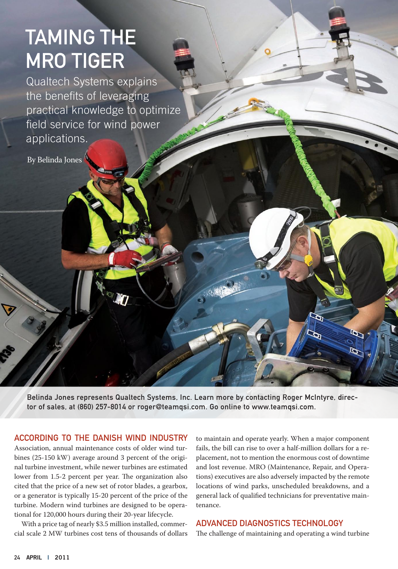# Taming the **MRO TIGER**

Qualtech Systems explains the benefits of leveraging practical knowledge to optimize field service for wind power applications.

By Belinda Jones

Belinda Jones represents Qualtech Systems, Inc. Learn more by contacting Roger McIntyre, director of sales, at (860) 257-8014 or roger@teamqsi.com. Go online to www.teamqsi.com.

#### According to the Danish Wind Industry

Association, annual maintenance costs of older wind turbines (25-150 kW) average around 3 percent of the original turbine investment, while newer turbines are estimated lower from 1.5-2 percent per year. The organization also cited that the price of a new set of rotor blades, a gearbox, or a generator is typically 15-20 percent of the price of the turbine. Modern wind turbines are designed to be operational for 120,000 hours during their 20-year lifecycle.

With a price tag of nearly \$3.5 million installed, commercial scale 2 MW turbines cost tens of thousands of dollars

to maintain and operate yearly. When a major component fails, the bill can rise to over a half-million dollars for a replacement, not to mention the enormous cost of downtime and lost revenue. MRO (Maintenance, Repair, and Operations) executives are also adversely impacted by the remote locations of wind parks, unscheduled breakdowns, and a general lack of qualified technicians for preventative maintenance.

#### Advanced Diagnostics Technology

The challenge of maintaining and operating a wind turbine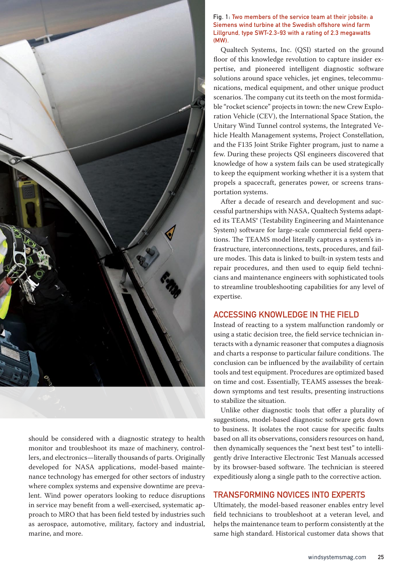

should be considered with a diagnostic strategy to health monitor and troubleshoot its maze of machinery, controllers, and electronics—literally thousands of parts. Originally developed for NASA applications, model-based maintenance technology has emerged for other sectors of industry where complex systems and expensive downtime are prevalent. Wind power operators looking to reduce disruptions in service may benefit from a well-exercised, systematic approach to MRO that has been field tested by industries such as aerospace, automotive, military, factory and industrial, marine, and more.

#### Fig. 1: Two members of the service team at their jobsite: a Siemens wind turbine at the Swedish offshore wind farm Lillgrund, type SWT-2.3-93 with a rating of 2.3 megawatts (MW).

Qualtech Systems, Inc. (QSI) started on the ground floor of this knowledge revolution to capture insider expertise, and pioneered intelligent diagnostic software solutions around space vehicles, jet engines, telecommunications, medical equipment, and other unique product scenarios. The company cut its teeth on the most formidable "rocket science" projects in town: the new Crew Exploration Vehicle (CEV), the International Space Station, the Unitary Wind Tunnel control systems, the Integrated Vehicle Health Management systems, Project Constellation, and the F135 Joint Strike Fighter program, just to name a few. During these projects QSI engineers discovered that knowledge of how a system fails can be used strategically to keep the equipment working whether it is a system that propels a spacecraft, generates power, or screens transportation systems.

After a decade of research and development and successful partnerships with NASA, Qualtech Systems adapted its TEAMS® (Testability Engineering and Maintenance System) software for large-scale commercial field operations. The TEAMS model literally captures a system's infrastructure, interconnections, tests, procedures, and failure modes. This data is linked to built-in system tests and repair procedures, and then used to equip field technicians and maintenance engineers with sophisticated tools to streamline troubleshooting capabilities for any level of expertise.

#### Accessing Knowledge in the Field

Instead of reacting to a system malfunction randomly or using a static decision tree, the field service technician interacts with a dynamic reasoner that computes a diagnosis and charts a response to particular failure conditions. The conclusion can be influenced by the availability of certain tools and test equipment. Procedures are optimized based on time and cost. Essentially, TEAMS assesses the breakdown symptoms and test results, presenting instructions to stabilize the situation.

Unlike other diagnostic tools that offer a plurality of suggestions, model-based diagnostic software gets down to business. It isolates the root cause for specific faults based on all its observations, considers resources on hand, then dynamically sequences the "next best test" to intelligently drive Interactive Electronic Test Manuals accessed by its browser-based software. The technician is steered expeditiously along a single path to the corrective action.

### Transforming Novices into Experts

Ultimately, the model-based reasoner enables entry level field technicians to troubleshoot at a veteran level, and helps the maintenance team to perform consistently at the same high standard. Historical customer data shows that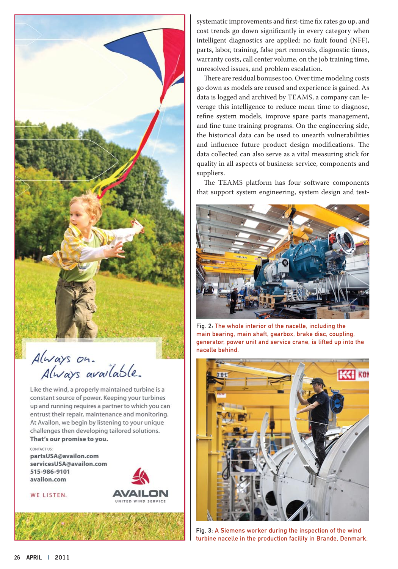

Always on.<br>Always available.

Like the wind, a properly maintained turbine is a constant source of power. Keeping your turbines up and running requires a partner to which you can entrust their repair, maintenance and monitoring. At Availon, we begin by listening to your unique challenges then developing tailored solutions. That's our promise to you.

AVAILON

UNITED WIND SERVICE

CONTACT US: partsUSA@availon.com servicesUSA@availon.com 515-986-9101 availon.com

WE LISTEN.



There are residual bonuses too. Over time modeling costs go down as models are reused and experience is gained. As data is logged and archived by TEAMS, a company can leverage this intelligence to reduce mean time to diagnose, refine system models, improve spare parts management, and fine tune training programs. On the engineering side, the historical data can be used to unearth vulnerabilities and influence future product design modifications. The data collected can also serve as a vital measuring stick for quality in all aspects of business: service, components and suppliers.

The TEAMS platform has four software components that support system engineering, system design and test-



Fig. 2: The whole interior of the nacelle, including the main bearing, main shaft, gearbox, brake disc, coupling, generator, power unit and service crane, is lifted up into the nacelle behind.



Fig. 3: A Siemens worker during the inspection of the wind turbine nacelle in the production facility in Brande, Denmark.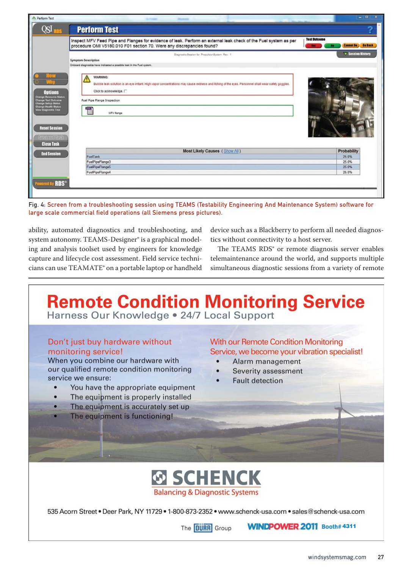|                                                                                                                                                  | Inspect MFV Feed Pipe and Flanges for evidence of leak. Perform an external leak check of the Fuel system as per                                                                               | <b>Test Outcome</b>      |
|--------------------------------------------------------------------------------------------------------------------------------------------------|------------------------------------------------------------------------------------------------------------------------------------------------------------------------------------------------|--------------------------|
|                                                                                                                                                  | procedure OMI V5180.010 F01 section 70. Were any discrepancies found?                                                                                                                          | <b>Cannot Do</b>         |
|                                                                                                                                                  | Diagnostic Session for PropulsionSystem Rev. 1<br><b>Symptom Description</b><br>Onboard diagnostics have indicated a possible leak in the Fuel system.                                         | <b>v Session History</b> |
| <b>Options</b>                                                                                                                                   | <b>WARNING:</b><br>Bubble leak solution is an eye irritant. High vapor concentrations may cause redness and itching of the eyes. Personnel shall wear safety goggles.<br>Click to acknowledge. |                          |
| <b>Change Resource Status</b><br>Change Test Outcome<br><b>Change Setup Status</b><br><b>Change Health Status</b><br><b>View Diagnostic Tree</b> | Fuel Pipe Flange Inspection<br>2916<br>MFV flange                                                                                                                                              |                          |
| <b>Reset Session</b><br><b>spendilask</b><br><b>Close Task</b>                                                                                   |                                                                                                                                                                                                | 11月11日                   |
| <b>End Session</b>                                                                                                                               | Most Likely Causes (Show All)                                                                                                                                                                  | Probability              |
|                                                                                                                                                  | FuelTank                                                                                                                                                                                       | 25.0%<br>25.0%           |
|                                                                                                                                                  | FuelPipeFlange3                                                                                                                                                                                | 25.0%                    |
|                                                                                                                                                  | FuelPipeFlange5                                                                                                                                                                                |                          |

Fig. 4: Screen from a troubleshooting session using TEAMS (Testability Engineering And Maintenance System) software for large scale commercial field operations (all Siemens press pictures).

ability, automated diagnostics and troubleshooting, and system autonomy. TEAMS-Designer<sup>®</sup> is a graphical modeling and analysis toolset used by engineers for knowledge capture and lifecycle cost assessment. Field service technicians can use TEAMATE® on a portable laptop or handheld device such as a Blackberry to perform all needed diagnostics without connectivity to a host server.

The TEAMS RDS<sup>®</sup> or remote diagnosis server enables telemaintenance around the world, and supports multiple simultaneous diagnostic sessions from a variety of remote

# **Remote Condition Monitoring Service**

Harness Our Knowledge . 24/7 Local Support

# Don't just buy hardware without monitoring service!

When you combine our hardware with our qualified remote condition monitoring service we ensure:

- You have the appropriate equipment
- The equipment is properly installed
- The equipment is accurately set up
- The equipment is functioning!

# **With our Remote Condition Monitoring** Service, we become your vibration specialist!

- Alarm management
- Severity assessment
- **Fault detection**



535 Acorn Street . Deer Park, NY 11729 . 1-800-873-2352 . www.schenck-usa.com . sales@schenck-usa.com

The **DURR** Group

WINDPOWER 2011 Booth# 4311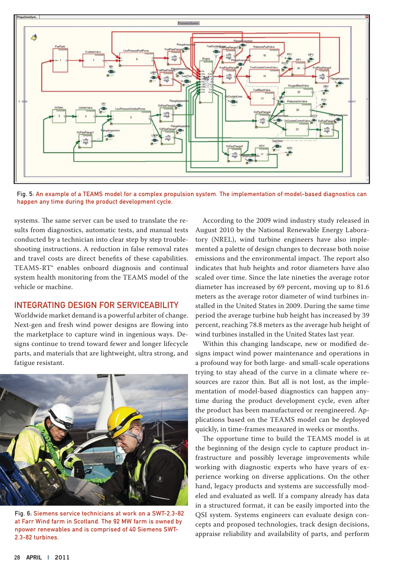

Fig. 5: An example of a TEAMS model for a complex propulsion system. The implementation of model-based diagnostics can happen any time during the product development cycle.

systems. The same server can be used to translate the results from diagnostics, automatic tests, and manual tests conducted by a technician into clear step by step troubleshooting instructions. A reduction in false removal rates and travel costs are direct benefits of these capabilities. TEAMS-RT® enables onboard diagnosis and continual system health monitoring from the TEAMS model of the vehicle or machine.

#### Integrating Design for Serviceability

Worldwide market demand is a powerful arbiter of change. Next-gen and fresh wind power designs are flowing into the marketplace to capture wind in ingenious ways. Designs continue to trend toward fewer and longer lifecycle parts, and materials that are lightweight, ultra strong, and fatigue resistant.



Fig. 6: Siemens service technicians at work on a SWT-2.3-82 at Farr Wind farm in Scotland. The 92 MW farm is owned by npower renewables and is comprised of 40 Siemens SWT-2.3-82 turbines.

According to the 2009 wind industry study released in August 2010 by the National Renewable Energy Laboratory (NREL), wind turbine engineers have also implemented a palette of design changes to decrease both noise emissions and the environmental impact. The report also indicates that hub heights and rotor diameters have also scaled over time. Since the late nineties the average rotor diameter has increased by 69 percent, moving up to 81.6 meters as the average rotor diameter of wind turbines installed in the United States in 2009. During the same time period the average turbine hub height has increased by 39 percent, reaching 78.8 meters as the average hub height of wind turbines installed in the United States last year.

Within this changing landscape, new or modified designs impact wind power maintenance and operations in a profound way for both large- and small-scale operations trying to stay ahead of the curve in a climate where resources are razor thin. But all is not lost, as the implementation of model-based diagnostics can happen anytime during the product development cycle, even after the product has been manufactured or reengineered. Applications based on the TEAMS model can be deployed quickly, in time-frames measured in weeks or months.

The opportune time to build the TEAMS model is at the beginning of the design cycle to capture product infrastructure and possibly leverage improvements while working with diagnostic experts who have years of experience working on diverse applications. On the other hand, legacy products and systems are successfully modeled and evaluated as well. If a company already has data in a structured format, it can be easily imported into the QSI system. Systems engineers can evaluate design concepts and proposed technologies, track design decisions, appraise reliability and availability of parts, and perform